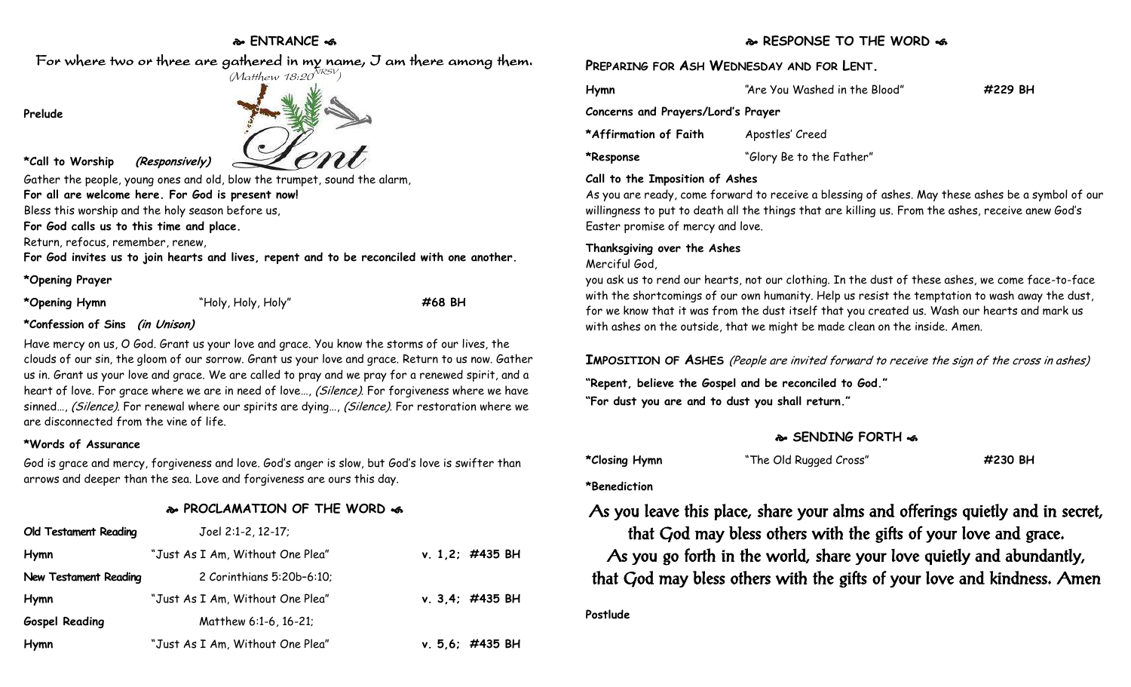## **ENTRANCE**

For where two or three are gathered in my name, I am there among them.

 $(M$ atthew 18:20 $^{NRSV})$ 

**\*Call to Worship (Responsively)**

**Prelude**

Gather the people, young ones and old, blow the trumpet, sound the alarm, **For all are welcome here. For God is present now!**

Bless this worship and the holy season before us,

**For God calls us to this time and place.**

Return, refocus, remember, renew,

**For God invites us to join hearts and lives, repent and to be reconciled with one another.**

**\*Opening Prayer**

**\*Opening Hymn** "Holy, Holy, Holy" **#68 BH**

## **\*Confession of Sins (in Unison)**

Have mercy on us, O God. Grant us your love and grace. You know the storms of our lives, the clouds of our sin, the gloom of our sorrow. Grant us your love and grace. Return to us now. Gather us in. Grant us your love and grace. We are called to pray and we pray for a renewed spirit, and a heart of love. For grace where we are in need of love..., (Silence). For forgiveness where we have sinned..., (Silence). For renewal where our spirits are dying..., (Silence). For restoration where we are disconnected from the vine of life.

## **\*Words of Assurance**

God is grace and mercy, forgiveness and love. God's anger is slow, but God's love is swifter than arrows and deeper than the sea. Love and forgiveness are ours this day.

## **PROCLAMATION OF THE WORD**

| Old Testament Reading        | $Joel 2:1-2, 12-17;$             |                    |
|------------------------------|----------------------------------|--------------------|
| Hymn                         | "Just As I Am, Without One Plea" | v. $1,2$ ; #435 BH |
| <b>New Testament Reading</b> | 2 Corinthians 5:20b-6:10;        |                    |
| Hymn                         | "Just As I Am, Without One Plea" | v. $3,4;$ #435 BH  |
| <b>Gospel Reading</b>        | Matthew 6:1-6, 16-21;            |                    |
| Hymn                         | "Just As I Am, Without One Plea" | v. $5,6$ ; #435 BH |

## **RESPONSE TO THE WORD**

**PREPARING FOR ASH WEDNESDAY AND FOR LENT.**

| Hymn                               | "Are You Washed in the Blood" | #229 BH |  |
|------------------------------------|-------------------------------|---------|--|
| Concerns and Prayers/Lord's Prayer |                               |         |  |
| *Affirmation of Faith              | Apostles' Creed               |         |  |
| *Response                          | "Glory Be to the Father"      |         |  |
|                                    |                               |         |  |

#### **Call to the Imposition of Ashes**

As you are ready, come forward to receive a blessing of ashes. May these ashes be a symbol of our willingness to put to death all the things that are killing us. From the ashes, receive anew God's Easter promise of mercy and love.

### **Thanksgiving over the Ashes**

#### Merciful God,

you ask us to rend our hearts, not our clothing. In the dust of these ashes, we come face-to-face with the shortcomings of our own humanity. Help us resist the temptation to wash away the dust, for we know that it was from the dust itself that you created us. Wash our hearts and mark us with ashes on the outside, that we might be made clean on the inside. Amen.

## **IMPOSITION OF ASHES** (People are invited forward to receive the sign of the cross in ashes)

**"Repent, believe the Gospel and be reconciled to God." "For dust you are and to dust you shall return."**

## **SENDING FORTH**

**\*Closing Hymn** "The Old Rugged Cross" **#230 BH**

**\*Benediction**

# As you leave this place, share your alms and offerings quietly and in secret,

that God may bless others with the gifts of your love and grace.

As you go forth in the world, share your love quietly and abundantly, that God may bless others with the gifts of your love and kindness. Amen

#### **Postlude**